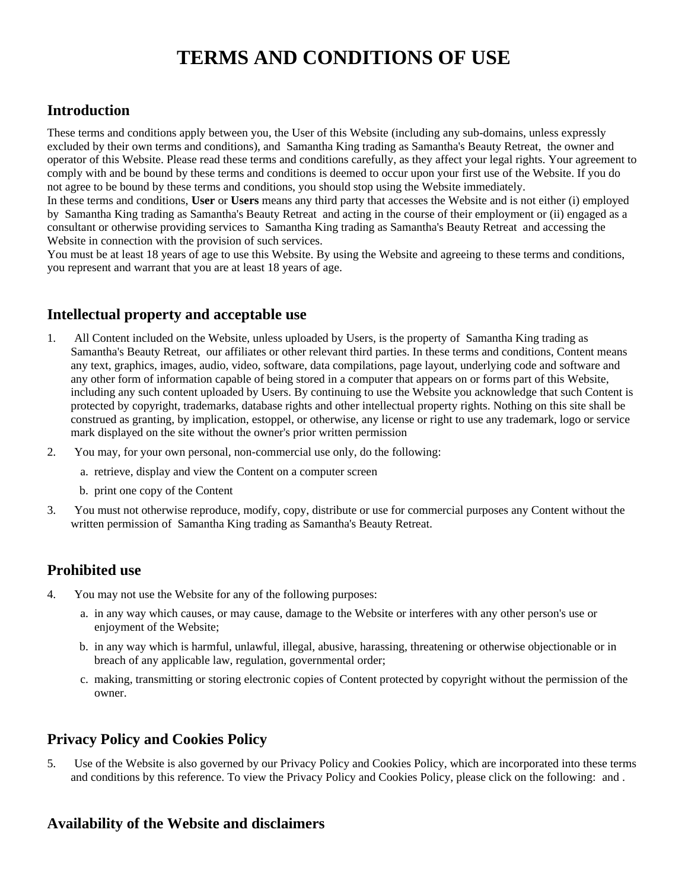# **TERMS AND CONDITIONS OF USE**

## **Introduction**

These terms and conditions apply between you, the User of this Website (including any sub-domains, unless expressly excluded by their own terms and conditions), and Samantha King trading as Samantha's Beauty Retreat, the owner and operator of this Website. Please read these terms and conditions carefully, as they affect your legal rights. Your agreement to comply with and be bound by these terms and conditions is deemed to occur upon your first use of the Website. If you do not agree to be bound by these terms and conditions, you should stop using the Website immediately.

In these terms and conditions, **User** or **Users** means any third party that accesses the Website and is not either (i) employed by Samantha King trading as Samantha's Beauty Retreat and acting in the course of their employment or (ii) engaged as a consultant or otherwise providing services to Samantha King trading as Samantha's Beauty Retreat and accessing the Website in connection with the provision of such services.

You must be at least 18 years of age to use this Website. By using the Website and agreeing to these terms and conditions, you represent and warrant that you are at least 18 years of age.

# **Intellectual property and acceptable use**

- 1. All Content included on the Website, unless uploaded by Users, is the property of Samantha King trading as Samantha's Beauty Retreat, our affiliates or other relevant third parties. In these terms and conditions, Content means any text, graphics, images, audio, video, software, data compilations, page layout, underlying code and software and any other form of information capable of being stored in a computer that appears on or forms part of this Website, including any such content uploaded by Users. By continuing to use the Website you acknowledge that such Content is protected by copyright, trademarks, database rights and other intellectual property rights. Nothing on this site shall be construed as granting, by implication, estoppel, or otherwise, any license or right to use any trademark, logo or service mark displayed on the site without the owner's prior written permission
- 2. You may, for your own personal, non-commercial use only, do the following:
	- a. retrieve, display and view the Content on a computer screen
	- b. print one copy of the Content
- 3. You must not otherwise reproduce, modify, copy, distribute or use for commercial purposes any Content without the written permission of Samantha King trading as Samantha's Beauty Retreat.

## **Prohibited use**

- 4. You may not use the Website for any of the following purposes:
	- a. in any way which causes, or may cause, damage to the Website or interferes with any other person's use or enjoyment of the Website;
	- b. in any way which is harmful, unlawful, illegal, abusive, harassing, threatening or otherwise objectionable or in breach of any applicable law, regulation, governmental order;
	- c. making, transmitting or storing electronic copies of Content protected by copyright without the permission of the owner.

## **Privacy Policy and Cookies Policy**

5. Use of the Website is also governed by our Privacy Policy and Cookies Policy, which are incorporated into these terms and conditions by this reference. To view the Privacy Policy and Cookies Policy, please click on the following: and .

#### **Availability of the Website and disclaimers**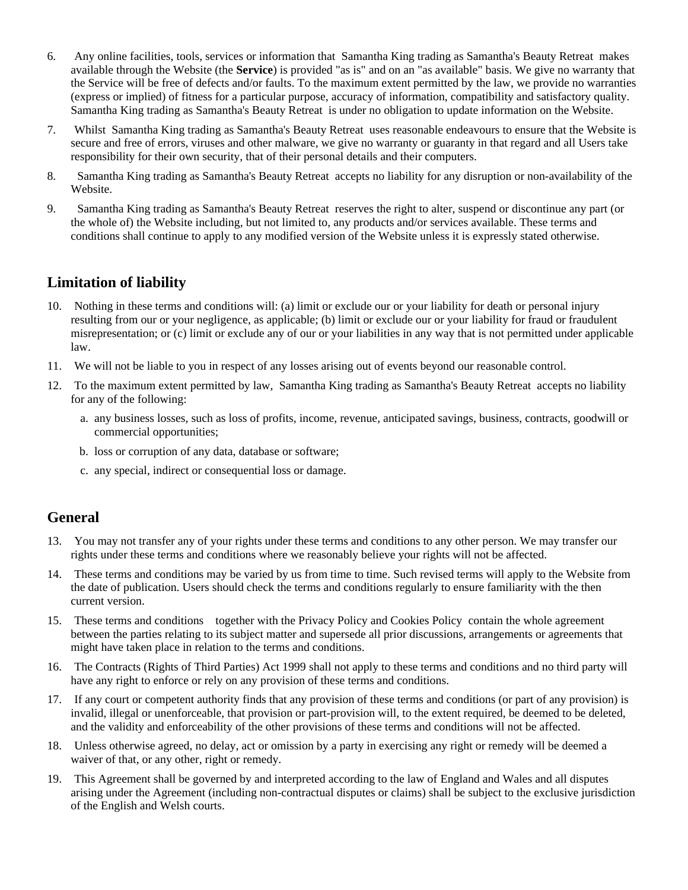- 6. Any online facilities, tools, services or information that Samantha King trading as Samantha's Beauty Retreat makes available through the Website (the **Service**) is provided "as is" and on an "as available" basis. We give no warranty that the Service will be free of defects and/or faults. To the maximum extent permitted by the law, we provide no warranties (express or implied) of fitness for a particular purpose, accuracy of information, compatibility and satisfactory quality. Samantha King trading as Samantha's Beauty Retreat is under no obligation to update information on the Website.
- 7. Whilst Samantha King trading as Samantha's Beauty Retreat uses reasonable endeavours to ensure that the Website is secure and free of errors, viruses and other malware, we give no warranty or guaranty in that regard and all Users take responsibility for their own security, that of their personal details and their computers.
- 8. Samantha King trading as Samantha's Beauty Retreat accepts no liability for any disruption or non-availability of the Website.
- 9. Samantha King trading as Samantha's Beauty Retreat reserves the right to alter, suspend or discontinue any part (or the whole of) the Website including, but not limited to, any products and/or services available. These terms and conditions shall continue to apply to any modified version of the Website unless it is expressly stated otherwise.

#### **Limitation of liability**

- 10. Nothing in these terms and conditions will: (a) limit or exclude our or your liability for death or personal injury resulting from our or your negligence, as applicable; (b) limit or exclude our or your liability for fraud or fraudulent misrepresentation; or (c) limit or exclude any of our or your liabilities in any way that is not permitted under applicable law.
- 11. We will not be liable to you in respect of any losses arising out of events beyond our reasonable control.
- 12. To the maximum extent permitted by law, Samantha King trading as Samantha's Beauty Retreat accepts no liability for any of the following:
	- a. any business losses, such as loss of profits, income, revenue, anticipated savings, business, contracts, goodwill or commercial opportunities;
	- b. loss or corruption of any data, database or software;
	- c. any special, indirect or consequential loss or damage.

#### **General**

- 13. You may not transfer any of your rights under these terms and conditions to any other person. We may transfer our rights under these terms and conditions where we reasonably believe your rights will not be affected.
- 14. These terms and conditions may be varied by us from time to time. Such revised terms will apply to the Website from the date of publication. Users should check the terms and conditions regularly to ensure familiarity with the then current version.
- 15. These terms and conditions together with the Privacy Policy and Cookies Policy contain the whole agreement between the parties relating to its subject matter and supersede all prior discussions, arrangements or agreements that might have taken place in relation to the terms and conditions.
- 16. The Contracts (Rights of Third Parties) Act 1999 shall not apply to these terms and conditions and no third party will have any right to enforce or rely on any provision of these terms and conditions.
- 17. If any court or competent authority finds that any provision of these terms and conditions (or part of any provision) is invalid, illegal or unenforceable, that provision or part-provision will, to the extent required, be deemed to be deleted, and the validity and enforceability of the other provisions of these terms and conditions will not be affected.
- 18. Unless otherwise agreed, no delay, act or omission by a party in exercising any right or remedy will be deemed a waiver of that, or any other, right or remedy.
- 19. This Agreement shall be governed by and interpreted according to the law of England and Wales and all disputes arising under the Agreement (including non-contractual disputes or claims) shall be subject to the exclusive jurisdiction of the English and Welsh courts.